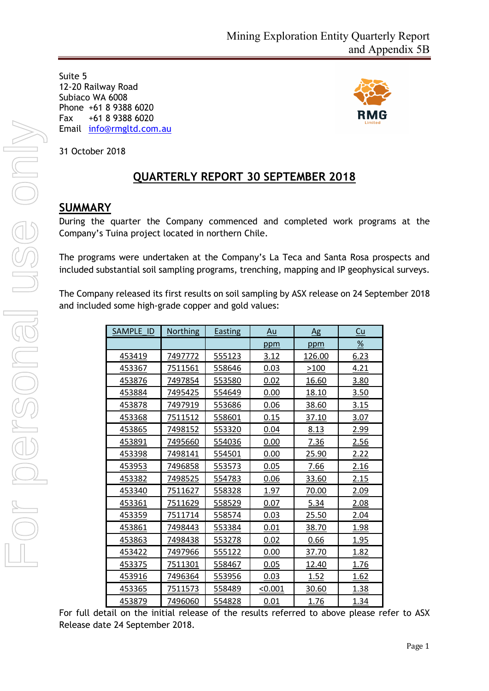Suite 5 12-20 Railway Road Subiaco WA 6008 Phone +61 8 9388 6020 Fax +61 8 9388 6020 Email [info@rmgltd.com.au](mailto:info@rmgltd.com.au)



31 October 2018

# **QUARTERLY REPORT 30 SEPTEMBER 2018**

## **SUMMARY**

During the quarter the Company commenced and completed work programs at the Company's Tuina project located in northern Chile.

The programs were undertaken at the Company's La Teca and Santa Rosa prospects and included substantial soil sampling programs, trenching, mapping and IP geophysical surveys.

The Company released its first results on soil sampling by ASX release on 24 September 2018 and included some high-grade copper and gold values:

| SAMPLE ID | <b>Northing</b> | <b>Easting</b> | <u>Au</u> | $\Delta$ g   | <u>Cu</u>     |
|-----------|-----------------|----------------|-----------|--------------|---------------|
|           |                 |                | ppm       | ppm          | $\frac{9}{6}$ |
| 453419    | 7497772         | 555123         | 3.12      | 126.00       | 6.23          |
| 453367    | 7511561         | 558646         | 0.03      | >100         | 4.21          |
| 453876    | 7497854         | 553580         | 0.02      | <u>16.60</u> | 3.80          |
| 453884    | 7495425         | 554649         | 0.00      | 18.10        | <u>3.50</u>   |
| 453878    | 7497919         | 553686         | 0.06      | 38.60        | 3.15          |
| 453368    | 7511512         | 558601         | 0.15      | 37.10        | 3.07          |
| 453865    | 7498152         | 553320         | 0.04      | 8.13         | 2.99          |
| 453891    | 7495660         | 554036         | 0.00      | 7.36         | 2.56          |
| 453398    | 7498141         | 554501         | 0.00      | 25.90        | <u>2.22</u>   |
| 453953    | 7496858         | 553573         | 0.05      | 7.66         | 2.16          |
| 453382    | 7498525         | 554783         | 0.06      | 33.60        | <u>2.15</u>   |
| 453340    | 7511627         | 558328         | 1.97      | 70.00        | 2.09          |
| 453361    | 7511629         | 558529         | 0.07      | 5.34         | 2.08          |
| 453359    | 7511714         | 558574         | 0.03      | 25.50        | 2.04          |
| 453861    | 7498443         | 553384         | 0.01      | 38.70        | 1.98          |
| 453863    | 7498438         | 553278         | 0.02      | 0.66         | <u>1.95</u>   |
| 453422    | 7497966         | 555122         | 0.00      | <u>37.70</u> | <u>1.82</u>   |
| 453375    | 7511301         | 558467         | 0.05      | 12.40        | 1.76          |
| 453916    | 7496364         | 553956         | 0.03      | 1.52         | 1.62          |
| 453365    | 7511573         | 558489         | < 0.001   | 30.60        | 1.38          |
| 453879    | 7496060         | 554828         | 0.01      | 1.76         | 1.34          |

For full detail on the initial release of the results referred to above please refer to ASX Release date 24 September 2018.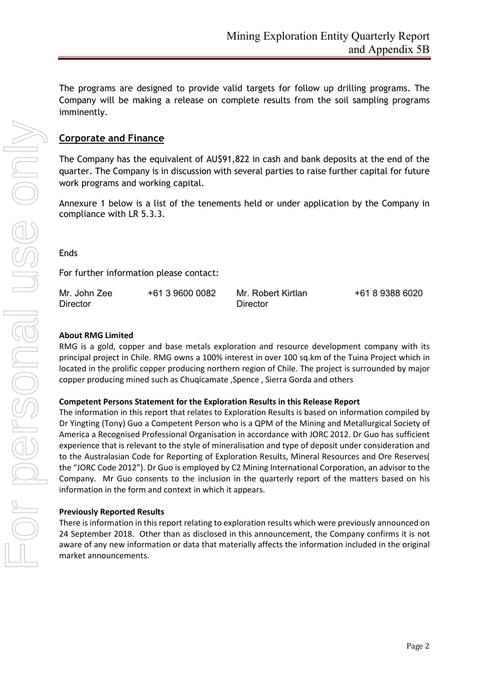The programs are designed to provide valid targets for follow up drilling programs. The Company will be making a release on complete results from the soil sampling programs imminently.

### **Corporate and Finance**

The Company has the equivalent of AU\$91,822 in cash and bank deposits at the end of the quarter. The Company is in discussion with several parties to raise further capital for future work programs and working capital.

Annexure 1 below is a list of the tenements held or under application by the Company in compliance with LR 5.3.3.

#### Ends

For further information please contact:

| Mr. John Zee | +61 3 9600 0082 | Mr. Robert Kirtlan | +61 8 9388 6020 |
|--------------|-----------------|--------------------|-----------------|
| Director     |                 | Director           |                 |

#### **About RMG Limited**

RMG is a gold, copper and base metals exploration and resource development company with its principal project in Chile. RMG owns a 100% interest in over 100 sq.km of the Tuina Project which in located in the prolific copper producing northern region of Chile. The project is surrounded by major copper producing mined such as Chuqicamate ,Spence , Sierra Gorda and others

#### **Competent Persons Statement for the Exploration Results in this Release Report**

The information in this report that relates to Exploration Results is based on information compiled by Dr Yingting (Tony) Guo a Competent Person who is a QPM of the Mining and Metallurgical Society of America a Recognised Professional Organisation in accordance with JORC 2012. Dr Guo has sufficient experience that is relevant to the style of mineralisation and type of deposit under consideration and to the Australasian Code for Reporting of Exploration Results, Mineral Resources and Ore Reserves( the "JORC Code 2012"). Dr Guo is employed by C2 Mining International Corporation, an advisor to the Company. Mr Guo consents to the inclusion in the quarterly report of the matters based on his information in the form and context in which it appears.

#### **Previously Reported Results**

There is information in this report relating to exploration results which were previously announced on 24 September 2018. Other than as disclosed in this announcement, the Company confirms it is not aware of any new information or data that materially affects the information included in the original market announcements.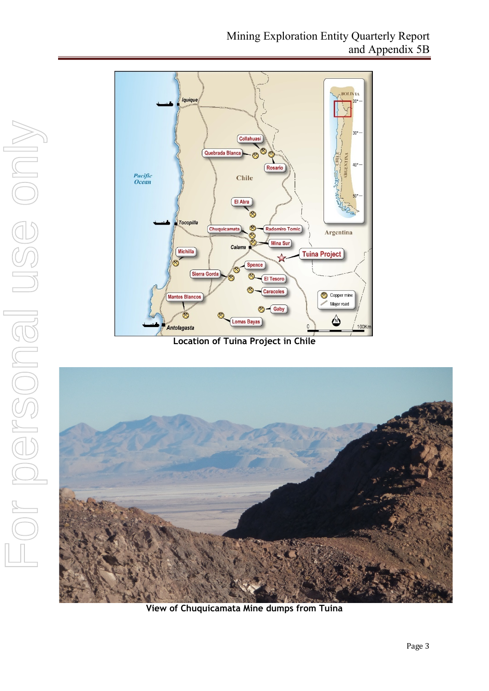

**Location of Tuina Project in Chile**



**View of Chuquicamata Mine dumps from Tuina**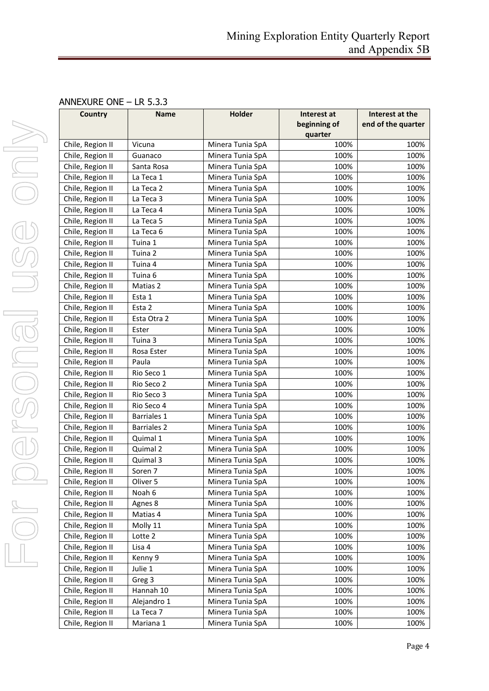#### ANNEXURE ONE – LR 5.3.3

| Country          | <b>Name</b>        | Holder           | Interest at<br>beginning of | Interest at the<br>end of the quarter |
|------------------|--------------------|------------------|-----------------------------|---------------------------------------|
|                  |                    |                  | quarter                     |                                       |
| Chile, Region II | Vicuna             | Minera Tunia SpA | 100%                        | 100%                                  |
| Chile, Region II | Guanaco            | Minera Tunia SpA | 100%                        | 100%                                  |
| Chile, Region II | Santa Rosa         | Minera Tunia SpA | 100%                        | 100%                                  |
| Chile, Region II | La Teca 1          | Minera Tunia SpA | 100%                        | 100%                                  |
| Chile, Region II | La Teca 2          | Minera Tunia SpA | 100%                        | 100%                                  |
| Chile, Region II | La Teca 3          | Minera Tunia SpA | 100%                        | 100%                                  |
| Chile, Region II | La Teca 4          | Minera Tunia SpA | 100%                        | 100%                                  |
| Chile, Region II | La Teca 5          | Minera Tunia SpA | 100%                        | 100%                                  |
| Chile, Region II | La Teca 6          | Minera Tunia SpA | 100%                        | 100%                                  |
| Chile, Region II | Tuina 1            | Minera Tunia SpA | 100%                        | 100%                                  |
| Chile, Region II | Tuina 2            | Minera Tunia SpA | 100%                        | 100%                                  |
| Chile, Region II | Tuina 4            | Minera Tunia SpA | 100%                        | 100%                                  |
| Chile, Region II | Tuina 6            | Minera Tunia SpA | 100%                        | 100%                                  |
| Chile, Region II | Matias 2           | Minera Tunia SpA | 100%                        | 100%                                  |
| Chile, Region II | Esta 1             | Minera Tunia SpA | 100%                        | 100%                                  |
| Chile, Region II | Esta 2             | Minera Tunia SpA | 100%                        | 100%                                  |
| Chile, Region II | Esta Otra 2        | Minera Tunia SpA | 100%                        | 100%                                  |
| Chile, Region II | Ester              | Minera Tunia SpA | 100%                        | 100%                                  |
| Chile, Region II | Tuina 3            | Minera Tunia SpA | 100%                        | 100%                                  |
| Chile, Region II | Rosa Ester         | Minera Tunia SpA | 100%                        | 100%                                  |
| Chile, Region II | Paula              | Minera Tunia SpA | 100%                        | 100%                                  |
| Chile, Region II | Rio Seco 1         | Minera Tunia SpA | 100%                        | 100%                                  |
| Chile, Region II | Rio Seco 2         | Minera Tunia SpA | 100%                        | 100%                                  |
| Chile, Region II | Rio Seco 3         | Minera Tunia SpA | 100%                        | 100%                                  |
| Chile, Region II | Rio Seco 4         | Minera Tunia SpA | 100%                        | 100%                                  |
| Chile, Region II | <b>Barriales 1</b> | Minera Tunia SpA | 100%                        | 100%                                  |
| Chile, Region II | <b>Barriales 2</b> | Minera Tunia SpA | 100%                        | 100%                                  |
| Chile, Region II | Quimal 1           | Minera Tunia SpA | 100%                        | 100%                                  |
| Chile, Region II | Quimal 2           | Minera Tunia SpA | 100%                        | 100%                                  |
| Chile, Region II | Quimal 3           | Minera Tunia SpA | 100%                        | 100%                                  |
| Chile, Region II | Soren 7            | Minera Tunia SpA | 100%                        | 100%                                  |
| Chile, Region II | Oliver 5           | Minera Tunia SpA | 100%                        | 100%                                  |
| Chile, Region II | Noah 6             | Minera Tunia SpA | 100%                        | 100%                                  |
| Chile, Region II | Agnes 8            | Minera Tunia SpA | 100%                        | 100%                                  |
| Chile, Region II | Matias 4           | Minera Tunia SpA | 100%                        | 100%                                  |
| Chile, Region II | Molly 11           | Minera Tunia SpA | 100%                        | 100%                                  |
| Chile, Region II | Lotte 2            | Minera Tunia SpA | 100%                        | 100%                                  |
| Chile, Region II | Lisa 4             | Minera Tunia SpA | 100%                        | 100%                                  |
| Chile, Region II | Kenny 9            | Minera Tunia SpA | 100%                        | 100%                                  |
| Chile, Region II | Julie 1            | Minera Tunia SpA | 100%                        | 100%                                  |
| Chile, Region II | Greg 3             | Minera Tunia SpA | 100%                        | 100%                                  |
| Chile, Region II | Hannah 10          | Minera Tunia SpA | 100%                        | 100%                                  |
| Chile, Region II | Alejandro 1        | Minera Tunia SpA | 100%                        | 100%                                  |
| Chile, Region II | La Teca 7          | Minera Tunia SpA | 100%                        | 100%                                  |
| Chile, Region II | Mariana 1          | Minera Tunia SpA | 100%                        | 100%                                  |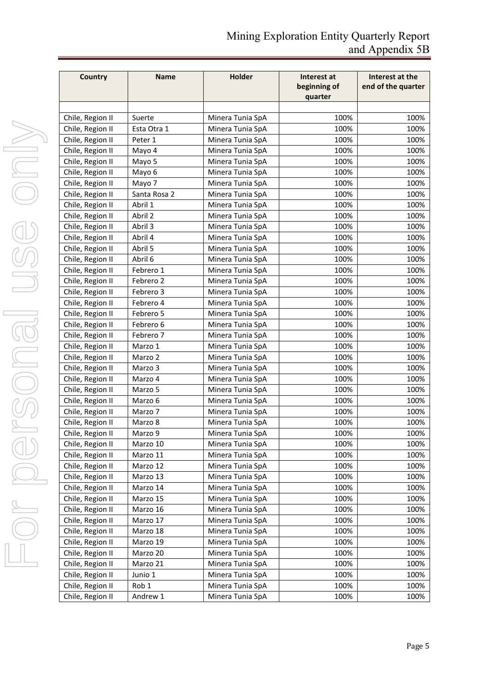| Country          | <b>Name</b>  | Holder           | Interest at<br>beginning of<br>quarter | Interest at the<br>end of the quarter |
|------------------|--------------|------------------|----------------------------------------|---------------------------------------|
|                  |              |                  |                                        |                                       |
| Chile, Region II | Suerte       | Minera Tunia SpA | 100%                                   | 100%                                  |
| Chile, Region II | Esta Otra 1  | Minera Tunia SpA | 100%                                   | 100%                                  |
| Chile, Region II | Peter 1      | Minera Tunia SpA | 100%                                   | 100%                                  |
| Chile, Region II | Mayo 4       | Minera Tunia SpA | 100%                                   | 100%                                  |
| Chile, Region II | Mayo 5       | Minera Tunia SpA | 100%                                   | 100%                                  |
| Chile, Region II | Mayo 6       | Minera Tunia SpA | 100%                                   | 100%                                  |
| Chile, Region II | Mayo 7       | Minera Tunia SpA | 100%                                   | 100%                                  |
| Chile, Region II | Santa Rosa 2 | Minera Tunia SpA | 100%                                   | 100%                                  |
| Chile, Region II | Abril 1      | Minera Tunia SpA | 100%                                   | 100%                                  |
| Chile, Region II | Abril 2      | Minera Tunia SpA | 100%                                   | 100%                                  |
| Chile, Region II | Abril 3      | Minera Tunia SpA | 100%                                   | 100%                                  |
| Chile, Region II | Abril 4      | Minera Tunia SpA | 100%                                   | 100%                                  |
| Chile, Region II | Abril 5      | Minera Tunia SpA | 100%                                   | 100%                                  |
| Chile, Region II | Abril 6      | Minera Tunia SpA | 100%                                   | 100%                                  |
| Chile, Region II | Febrero 1    | Minera Tunia SpA | 100%                                   | 100%                                  |
| Chile, Region II | Febrero 2    | Minera Tunia SpA | 100%                                   | 100%                                  |
| Chile, Region II | Febrero 3    | Minera Tunia SpA | 100%                                   | 100%                                  |
| Chile, Region II | Febrero 4    | Minera Tunia SpA | 100%                                   | 100%                                  |
| Chile, Region II | Febrero 5    | Minera Tunia SpA | 100%                                   | 100%                                  |
| Chile, Region II | Febrero 6    | Minera Tunia SpA | 100%                                   | 100%                                  |
| Chile, Region II | Febrero 7    | Minera Tunia SpA | 100%                                   | 100%                                  |
| Chile, Region II | Marzo 1      | Minera Tunia SpA | 100%                                   | 100%                                  |
| Chile, Region II | Marzo 2      | Minera Tunia SpA | 100%                                   | 100%                                  |
| Chile, Region II | Marzo 3      | Minera Tunia SpA | 100%                                   | 100%                                  |
| Chile, Region II | Marzo 4      | Minera Tunia SpA | 100%                                   | 100%                                  |
| Chile, Region II | Marzo 5      | Minera Tunia SpA | 100%                                   | 100%                                  |
| Chile, Region II | Marzo 6      | Minera Tunia SpA | 100%                                   | 100%                                  |
| Chile, Region II | Marzo 7      | Minera Tunia SpA | 100%                                   | 100%                                  |
| Chile, Region II | Marzo 8      | Minera Tunia SpA | 100%                                   | 100%                                  |
| Chile, Region II | Marzo 9      | Minera Tunia SpA | 100%                                   | 100%                                  |
| Chile, Region II | Marzo 10     | Minera Tunia SpA | 100%                                   | 100%                                  |
| Chile, Region II | Marzo 11     | Minera Tunia SpA | 100%                                   | 100%                                  |
| Chile, Region II | Marzo 12     | Minera Tunia SpA | 100%                                   | 100%                                  |
| Chile, Region II | Marzo 13     | Minera Tunia SpA | 100%                                   | 100%                                  |
| Chile, Region II | Marzo 14     | Minera Tunia SpA | 100%                                   | 100%                                  |
| Chile, Region II | Marzo 15     | Minera Tunia SpA | 100%                                   | 100%                                  |
| Chile, Region II | Marzo 16     | Minera Tunia SpA | 100%                                   | 100%                                  |
| Chile, Region II | Marzo 17     | Minera Tunia SpA | 100%                                   | 100%                                  |
| Chile, Region II | Marzo 18     | Minera Tunia SpA | 100%                                   | 100%                                  |
| Chile, Region II | Marzo 19     | Minera Tunia SpA | 100%                                   | 100%                                  |
| Chile, Region II | Marzo 20     | Minera Tunia SpA | 100%                                   | 100%                                  |
| Chile, Region II | Marzo 21     | Minera Tunia SpA | 100%                                   | 100%                                  |
| Chile, Region II | Junio 1      | Minera Tunia SpA | 100%                                   | 100%                                  |
| Chile, Region II | Rob 1        | Minera Tunia SpA | 100%                                   | 100%                                  |
| Chile, Region II | Andrew 1     | Minera Tunia SpA | 100%                                   | 100%                                  |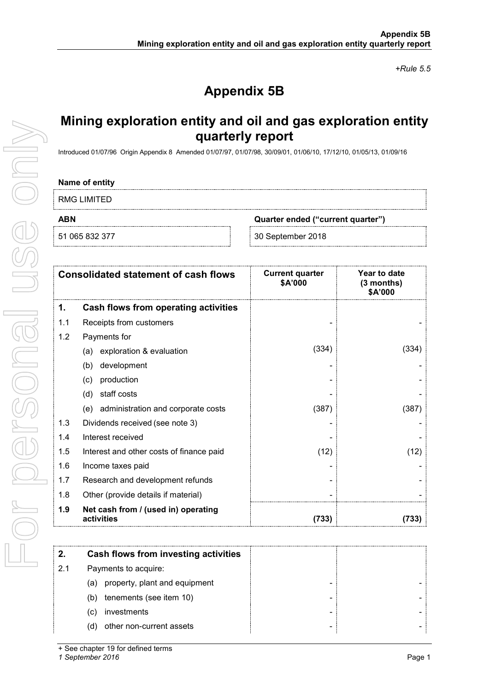*+Rule 5.5*

# **Appendix 5B**

# **Mining exploration entity and oil and gas exploration entity quarterly report**

Introduced 01/07/96 Origin Appendix 8 Amended 01/07/97, 01/07/98, 30/09/01, 01/06/10, 17/12/10, 01/05/13, 01/09/16

#### **Name of entity**

RMG LIMITED

**ABN Quarter ended ("current quarter")**

51 065 832 377 30 September 2018

|     | <b>Consolidated statement of cash flows</b>       | <b>Current quarter</b><br>\$A'000 | Year to date<br>$(3$ months)<br>\$A'000 |
|-----|---------------------------------------------------|-----------------------------------|-----------------------------------------|
| 1.  | Cash flows from operating activities              |                                   |                                         |
| 1.1 | Receipts from customers                           |                                   |                                         |
| 1.2 | Payments for                                      |                                   |                                         |
|     | exploration & evaluation<br>(a)                   | (334)                             | (334)                                   |
|     | development<br>(b)                                |                                   |                                         |
|     | production<br>(c)                                 |                                   |                                         |
|     | staff costs<br>(d)                                |                                   |                                         |
|     | administration and corporate costs<br>(e)         | (387)                             | (387)                                   |
| 1.3 | Dividends received (see note 3)                   |                                   |                                         |
| 1.4 | Interest received                                 |                                   |                                         |
| 1.5 | Interest and other costs of finance paid          | (12)                              | (12)                                    |
| 1.6 | Income taxes paid                                 |                                   |                                         |
| 1.7 | Research and development refunds                  |                                   |                                         |
| 1.8 | Other (provide details if material)               |                                   |                                         |
| 1.9 | Net cash from / (used in) operating<br>activities | (733)                             | (733)                                   |

|     | Cash flows from investing activities |
|-----|--------------------------------------|
| 2.1 | Payments to acquire:                 |
| (a) | property, plant and equipment        |
| (b) | tenements (see item 10)              |
| (C) | investments                          |
| (d) | other non-current assets             |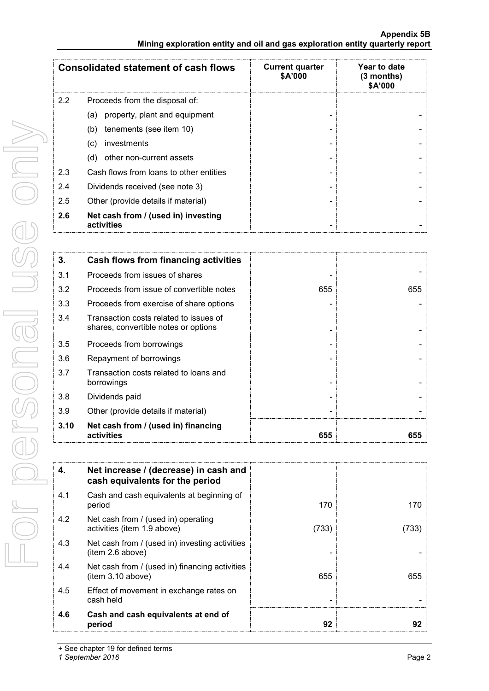|     | <b>Consolidated statement of cash flows</b>       | <b>Current quarter</b><br><b>\$A'000</b> | Year to date<br>$(3$ months)<br>\$A'000 |
|-----|---------------------------------------------------|------------------------------------------|-----------------------------------------|
| 2.2 | Proceeds from the disposal of:                    |                                          |                                         |
|     | property, plant and equipment<br>(a)              |                                          |                                         |
|     | tenements (see item 10)<br>(b)                    |                                          |                                         |
|     | investments<br>(C)                                |                                          |                                         |
|     | other non-current assets<br>(d)                   |                                          |                                         |
| 2.3 | Cash flows from loans to other entities           |                                          |                                         |
| 2.4 | Dividends received (see note 3)                   |                                          |                                         |
| 2.5 | Other (provide details if material)               |                                          |                                         |
| 2.6 | Net cash from / (used in) investing<br>activities |                                          |                                         |

| 3.   | Cash flows from financing activities                                           |     |     |
|------|--------------------------------------------------------------------------------|-----|-----|
| 3.1  | Proceeds from issues of shares                                                 |     |     |
| 3.2  | Proceeds from issue of convertible notes                                       | 655 | 655 |
| 3.3  | Proceeds from exercise of share options                                        |     |     |
| 3.4  | Transaction costs related to issues of<br>shares, convertible notes or options |     |     |
| 3.5  | Proceeds from borrowings                                                       |     |     |
| 3.6  | Repayment of borrowings                                                        |     |     |
| 3.7  | Transaction costs related to loans and<br>borrowings                           |     |     |
| 3.8  | Dividends paid                                                                 |     |     |
| 3.9  | Other (provide details if material)                                            |     |     |
| 3.10 | Net cash from / (used in) financing<br>activities                              | 655 | 655 |

| 4.  | Net increase / (decrease) in cash and<br>cash equivalents for the period |       |     |
|-----|--------------------------------------------------------------------------|-------|-----|
| 4.1 | Cash and cash equivalents at beginning of<br>period                      | 170   | 170 |
| 4.2 | Net cash from / (used in) operating<br>activities (item 1.9 above)       | (733) | 733 |
| 4.3 | Net cash from / (used in) investing activities<br>(item 2.6 above)       |       |     |
| 4.4 | Net cash from / (used in) financing activities<br>item 3.10 above)       | 655   | 655 |
| 4.5 | Effect of movement in exchange rates on<br>cash held                     |       |     |
| 4.6 | Cash and cash equivalents at end of<br>period                            | 92    |     |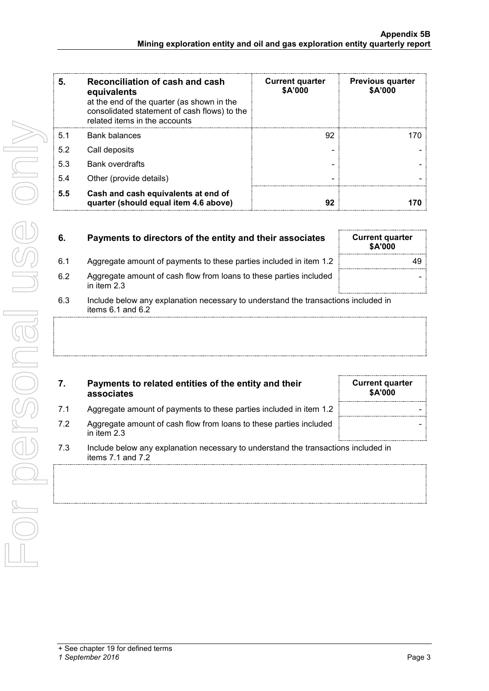| 5.  | Reconciliation of cash and cash<br>equivalents<br>at the end of the quarter (as shown in the<br>consolidated statement of cash flows) to the<br>related items in the accounts | <b>Current quarter</b><br>\$A'000 | <b>Previous quarter</b><br>\$A'000 |
|-----|-------------------------------------------------------------------------------------------------------------------------------------------------------------------------------|-----------------------------------|------------------------------------|
| 5.1 | <b>Bank balances</b>                                                                                                                                                          | 92                                | 170                                |
| 5.2 | Call deposits                                                                                                                                                                 |                                   |                                    |
| 5.3 | <b>Bank overdrafts</b>                                                                                                                                                        |                                   |                                    |
| 5.4 | Other (provide details)                                                                                                                                                       |                                   |                                    |
| 5.5 | Cash and cash equivalents at end of<br>quarter (should equal item 4.6 above)                                                                                                  | 92                                |                                    |

| 6.  | Payments to directors of the entity and their associates                                                | <b>Current quarter</b><br><b>\$A'000</b> |
|-----|---------------------------------------------------------------------------------------------------------|------------------------------------------|
| 6.1 | Aggregate amount of payments to these parties included in item 1.2                                      | 49.                                      |
| 6.2 | Aggregate amount of cash flow from loans to these parties included<br>in item $2.3$                     |                                          |
| 6.3 | Include below any explanation necessary to understand the transactions included in<br>items 6.1 and 6.2 |                                          |

| 7. | Payments to related entities of the entity and their |
|----|------------------------------------------------------|
|    | associates                                           |

- 7.1 Aggregate amount of payments to these parties included in item 1.2
- 7.2 Aggregate amount of cash flow from loans to these parties included in item 2.3
- 7.3 Include below any explanation necessary to understand the transactions included in items 7.1 and 7.2

**Current quarter \$A'000**

-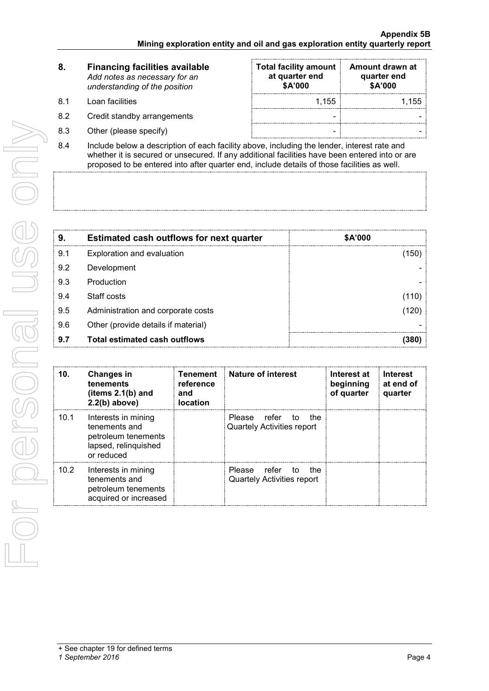| 8. | <b>Financing facilities available</b> |  |  |
|----|---------------------------------------|--|--|
|    | Add notes as necessary for an         |  |  |
|    | understanding of the position         |  |  |
|    |                                       |  |  |

- 8.1 Loan facilities
- 8.2 Credit standby arrangements
- $8.3$  Other (please specify)

| <b>Total facility amount</b><br>at quarter end<br>\$A'000 | Amount drawn at<br>quarter end<br>\$A'000 |
|-----------------------------------------------------------|-------------------------------------------|
| 1.155                                                     | 1.155                                     |
|                                                           |                                           |
|                                                           |                                           |

8.4 Include below a description of each facility above, including the lender, interest rate and whether it is secured or unsecured. If any additional facilities have been entered into or are proposed to be entered into after quarter end, include details of those facilities as well.

| 9.  | <b>Estimated cash outflows for next quarter</b> | <b>\$A'000</b> |
|-----|-------------------------------------------------|----------------|
| 9.1 | Exploration and evaluation                      | 150)           |
| 9.2 | Development                                     |                |
| 9.3 | Production                                      |                |
| 9.4 | Staff costs                                     | (110)          |
| 9.5 | Administration and corporate costs              | 120)           |
| 9.6 | Other (provide details if material)             |                |
| 9.7 | Total estimated cash outflows                   | 380            |

| 10.  | <b>Changes in</b><br>tenements<br>(items $2.1(b)$ and<br>$2.2(b)$ above)                          | Tenement<br>reference<br>and<br><b>location</b> | <b>Nature of interest</b>                                | Interest at<br>beginning<br>of quarter | <b>Interest</b><br>at end of<br>quarter |
|------|---------------------------------------------------------------------------------------------------|-------------------------------------------------|----------------------------------------------------------|----------------------------------------|-----------------------------------------|
| 10.1 | Interests in mining<br>tenements and<br>petroleum tenements<br>lapsed, relinquished<br>or reduced |                                                 | Please refer to the<br><b>Quartely Activities report</b> |                                        |                                         |
| 10.2 | Interests in mining<br>tenements and<br>petroleum tenements<br>acquired or increased              |                                                 | Please refer to the<br><b>Quartely Activities report</b> |                                        |                                         |